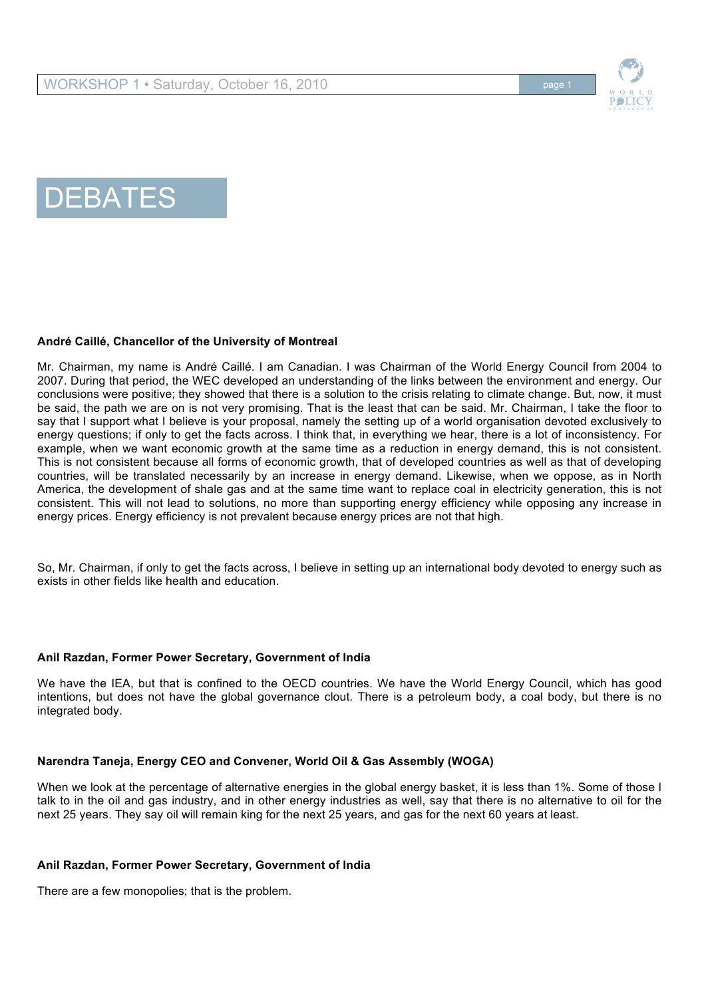



# DEBATES

### **André Caillé, Chancellor of the University of Montreal**

Mr. Chairman, my name is André Caillé. I am Canadian. I was Chairman of the World Energy Council from 2004 to 2007. During that period, the WEC developed an understanding of the links between the environment and energy. Our conclusions were positive; they showed that there is a solution to the crisis relating to climate change. But, now, it must be said, the path we are on is not very promising. That is the least that can be said. Mr. Chairman, I take the floor to say that I support what I believe is your proposal, namely the setting up of a world organisation devoted exclusively to energy questions; if only to get the facts across. I think that, in everything we hear, there is a lot of inconsistency. For example, when we want economic growth at the same time as a reduction in energy demand, this is not consistent. This is not consistent because all forms of economic growth, that of developed countries as well as that of developing countries, will be translated necessarily by an increase in energy demand. Likewise, when we oppose, as in North America, the development of shale gas and at the same time want to replace coal in electricity generation, this is not consistent. This will not lead to solutions, no more than supporting energy efficiency while opposing any increase in energy prices. Energy efficiency is not prevalent because energy prices are not that high.

So, Mr. Chairman, if only to get the facts across, I believe in setting up an international body devoted to energy such as exists in other fields like health and education.

#### **Anil Razdan, Former Power Secretary, Government of India**

We have the IEA, but that is confined to the OECD countries. We have the World Energy Council, which has good intentions, but does not have the global governance clout. There is a petroleum body, a coal body, but there is no integrated body.

#### **Narendra Taneja, Energy CEO and Convener, World Oil & Gas Assembly (WOGA)**

When we look at the percentage of alternative energies in the global energy basket, it is less than 1%. Some of those I talk to in the oil and gas industry, and in other energy industries as well, say that there is no alternative to oil for the next 25 years. They say oil will remain king for the next 25 years, and gas for the next 60 years at least.

#### **Anil Razdan, Former Power Secretary, Government of India**

There are a few monopolies; that is the problem.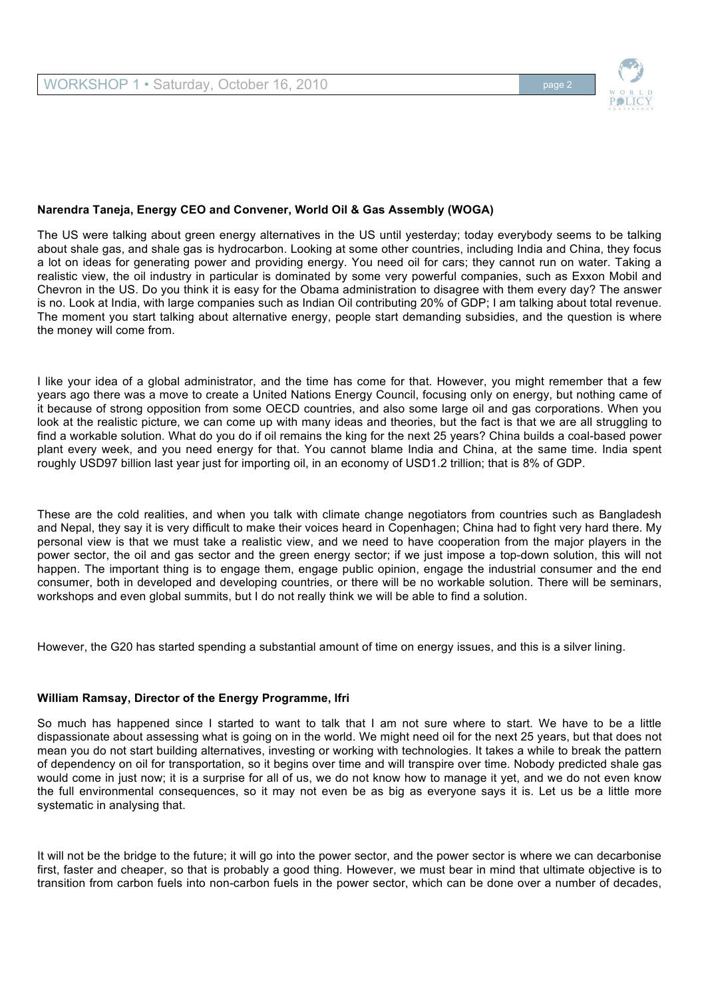

## **Narendra Taneja, Energy CEO and Convener, World Oil & Gas Assembly (WOGA)**

The US were talking about green energy alternatives in the US until yesterday; today everybody seems to be talking about shale gas, and shale gas is hydrocarbon. Looking at some other countries, including India and China, they focus a lot on ideas for generating power and providing energy. You need oil for cars; they cannot run on water. Taking a realistic view, the oil industry in particular is dominated by some very powerful companies, such as Exxon Mobil and Chevron in the US. Do you think it is easy for the Obama administration to disagree with them every day? The answer is no. Look at India, with large companies such as Indian Oil contributing 20% of GDP; I am talking about total revenue. The moment you start talking about alternative energy, people start demanding subsidies, and the question is where the money will come from.

I like your idea of a global administrator, and the time has come for that. However, you might remember that a few years ago there was a move to create a United Nations Energy Council, focusing only on energy, but nothing came of it because of strong opposition from some OECD countries, and also some large oil and gas corporations. When you look at the realistic picture, we can come up with many ideas and theories, but the fact is that we are all struggling to find a workable solution. What do you do if oil remains the king for the next 25 years? China builds a coal-based power plant every week, and you need energy for that. You cannot blame India and China, at the same time. India spent roughly USD97 billion last year just for importing oil, in an economy of USD1.2 trillion; that is 8% of GDP.

These are the cold realities, and when you talk with climate change negotiators from countries such as Bangladesh and Nepal, they say it is very difficult to make their voices heard in Copenhagen; China had to fight very hard there. My personal view is that we must take a realistic view, and we need to have cooperation from the major players in the power sector, the oil and gas sector and the green energy sector; if we just impose a top-down solution, this will not happen. The important thing is to engage them, engage public opinion, engage the industrial consumer and the end consumer, both in developed and developing countries, or there will be no workable solution. There will be seminars, workshops and even global summits, but I do not really think we will be able to find a solution.

However, the G20 has started spending a substantial amount of time on energy issues, and this is a silver lining.

#### **William Ramsay, Director of the Energy Programme, Ifri**

So much has happened since I started to want to talk that I am not sure where to start. We have to be a little dispassionate about assessing what is going on in the world. We might need oil for the next 25 years, but that does not mean you do not start building alternatives, investing or working with technologies. It takes a while to break the pattern of dependency on oil for transportation, so it begins over time and will transpire over time. Nobody predicted shale gas would come in just now; it is a surprise for all of us, we do not know how to manage it yet, and we do not even know the full environmental consequences, so it may not even be as big as everyone says it is. Let us be a little more systematic in analysing that.

It will not be the bridge to the future; it will go into the power sector, and the power sector is where we can decarbonise first, faster and cheaper, so that is probably a good thing. However, we must bear in mind that ultimate objective is to transition from carbon fuels into non-carbon fuels in the power sector, which can be done over a number of decades,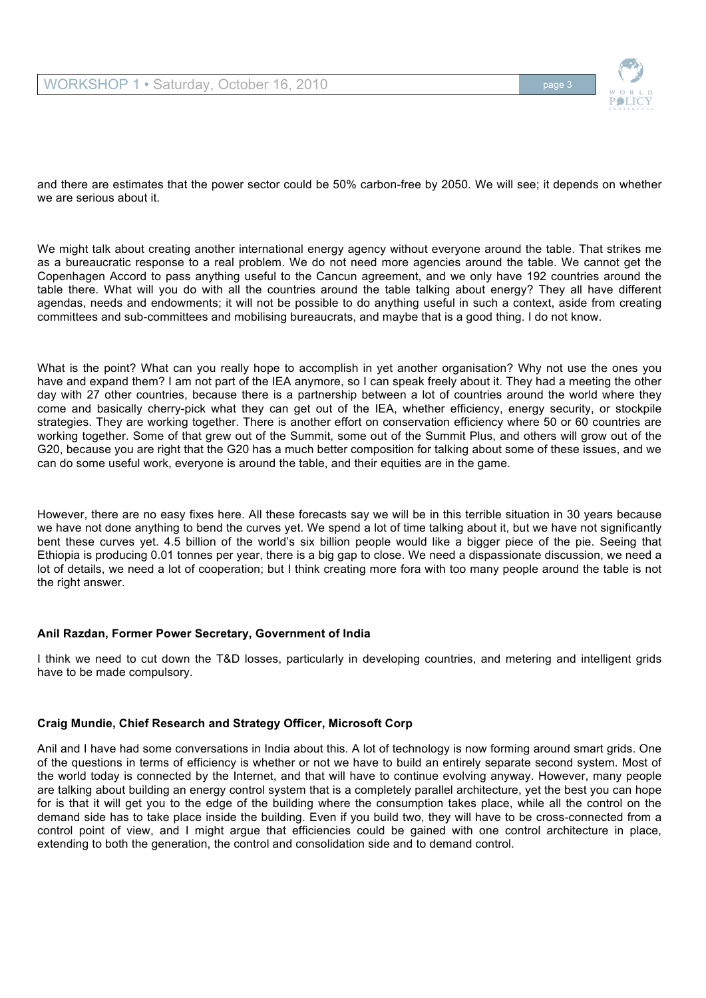

and there are estimates that the power sector could be 50% carbon-free by 2050. We will see; it depends on whether we are serious about it.

We might talk about creating another international energy agency without everyone around the table. That strikes me as a bureaucratic response to a real problem. We do not need more agencies around the table. We cannot get the Copenhagen Accord to pass anything useful to the Cancun agreement, and we only have 192 countries around the table there. What will you do with all the countries around the table talking about energy? They all have different agendas, needs and endowments; it will not be possible to do anything useful in such a context, aside from creating committees and sub-committees and mobilising bureaucrats, and maybe that is a good thing. I do not know.

What is the point? What can you really hope to accomplish in yet another organisation? Why not use the ones you have and expand them? I am not part of the IEA anymore, so I can speak freely about it. They had a meeting the other day with 27 other countries, because there is a partnership between a lot of countries around the world where they come and basically cherry-pick what they can get out of the IEA, whether efficiency, energy security, or stockpile strategies. They are working together. There is another effort on conservation efficiency where 50 or 60 countries are working together. Some of that grew out of the Summit, some out of the Summit Plus, and others will grow out of the G20, because you are right that the G20 has a much better composition for talking about some of these issues, and we can do some useful work, everyone is around the table, and their equities are in the game.

However, there are no easy fixes here. All these forecasts say we will be in this terrible situation in 30 years because we have not done anything to bend the curves yet. We spend a lot of time talking about it, but we have not significantly bent these curves yet. 4.5 billion of the world's six billion people would like a bigger piece of the pie. Seeing that Ethiopia is producing 0.01 tonnes per year, there is a big gap to close. We need a dispassionate discussion, we need a lot of details, we need a lot of cooperation; but I think creating more fora with too many people around the table is not the right answer.

# **Anil Razdan, Former Power Secretary, Government of India**

I think we need to cut down the T&D losses, particularly in developing countries, and metering and intelligent grids have to be made compulsory.

# **Craig Mundie, Chief Research and Strategy Officer, Microsoft Corp**

Anil and I have had some conversations in India about this. A lot of technology is now forming around smart grids. One of the questions in terms of efficiency is whether or not we have to build an entirely separate second system. Most of the world today is connected by the Internet, and that will have to continue evolving anyway. However, many people are talking about building an energy control system that is a completely parallel architecture, yet the best you can hope for is that it will get you to the edge of the building where the consumption takes place, while all the control on the demand side has to take place inside the building. Even if you build two, they will have to be cross-connected from a control point of view, and I might argue that efficiencies could be gained with one control architecture in place, extending to both the generation, the control and consolidation side and to demand control.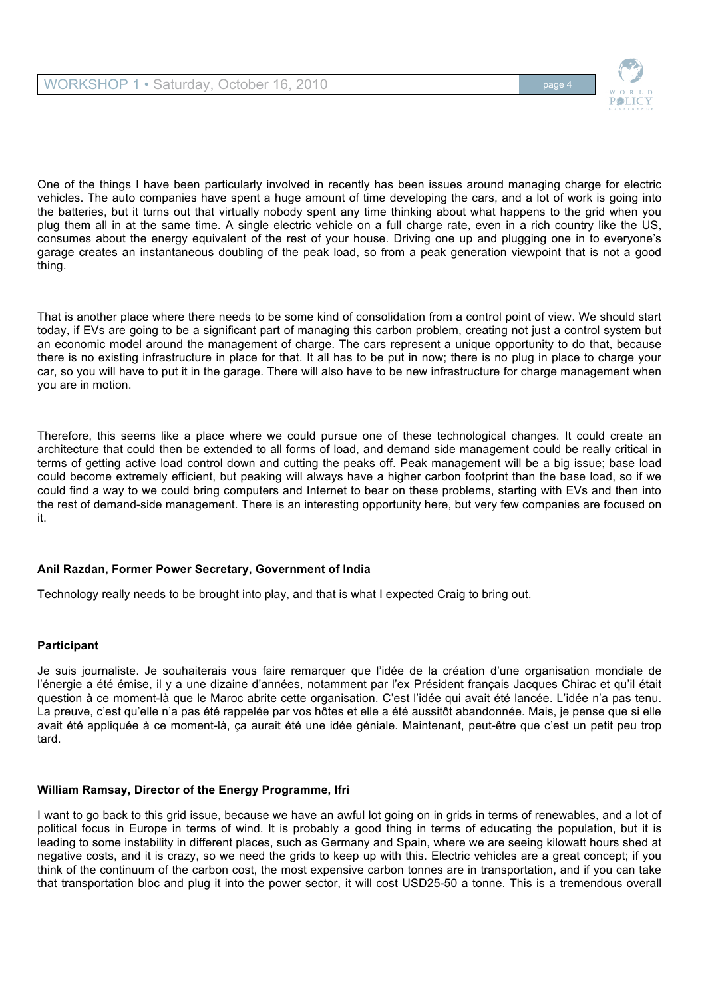

One of the things I have been particularly involved in recently has been issues around managing charge for electric vehicles. The auto companies have spent a huge amount of time developing the cars, and a lot of work is going into the batteries, but it turns out that virtually nobody spent any time thinking about what happens to the grid when you plug them all in at the same time. A single electric vehicle on a full charge rate, even in a rich country like the US, consumes about the energy equivalent of the rest of your house. Driving one up and plugging one in to everyone's garage creates an instantaneous doubling of the peak load, so from a peak generation viewpoint that is not a good thing.

That is another place where there needs to be some kind of consolidation from a control point of view. We should start today, if EVs are going to be a significant part of managing this carbon problem, creating not just a control system but an economic model around the management of charge. The cars represent a unique opportunity to do that, because there is no existing infrastructure in place for that. It all has to be put in now; there is no plug in place to charge your car, so you will have to put it in the garage. There will also have to be new infrastructure for charge management when you are in motion.

Therefore, this seems like a place where we could pursue one of these technological changes. It could create an architecture that could then be extended to all forms of load, and demand side management could be really critical in terms of getting active load control down and cutting the peaks off. Peak management will be a big issue; base load could become extremely efficient, but peaking will always have a higher carbon footprint than the base load, so if we could find a way to we could bring computers and Internet to bear on these problems, starting with EVs and then into the rest of demand-side management. There is an interesting opportunity here, but very few companies are focused on it.

# **Anil Razdan, Former Power Secretary, Government of India**

Technology really needs to be brought into play, and that is what I expected Craig to bring out.

# **Participant**

Je suis journaliste. Je souhaiterais vous faire remarquer que l'idée de la création d'une organisation mondiale de l'énergie a été émise, il y a une dizaine d'années, notamment par l'ex Président français Jacques Chirac et qu'il était question à ce moment-là que le Maroc abrite cette organisation. C'est l'idée qui avait été lancée. L'idée n'a pas tenu. La preuve, c'est qu'elle n'a pas été rappelée par vos hôtes et elle a été aussitôt abandonnée. Mais, je pense que si elle avait été appliquée à ce moment-là, ça aurait été une idée géniale. Maintenant, peut-être que c'est un petit peu trop tard.

# **William Ramsay, Director of the Energy Programme, Ifri**

I want to go back to this grid issue, because we have an awful lot going on in grids in terms of renewables, and a lot of political focus in Europe in terms of wind. It is probably a good thing in terms of educating the population, but it is leading to some instability in different places, such as Germany and Spain, where we are seeing kilowatt hours shed at negative costs, and it is crazy, so we need the grids to keep up with this. Electric vehicles are a great concept; if you think of the continuum of the carbon cost, the most expensive carbon tonnes are in transportation, and if you can take that transportation bloc and plug it into the power sector, it will cost USD25-50 a tonne. This is a tremendous overall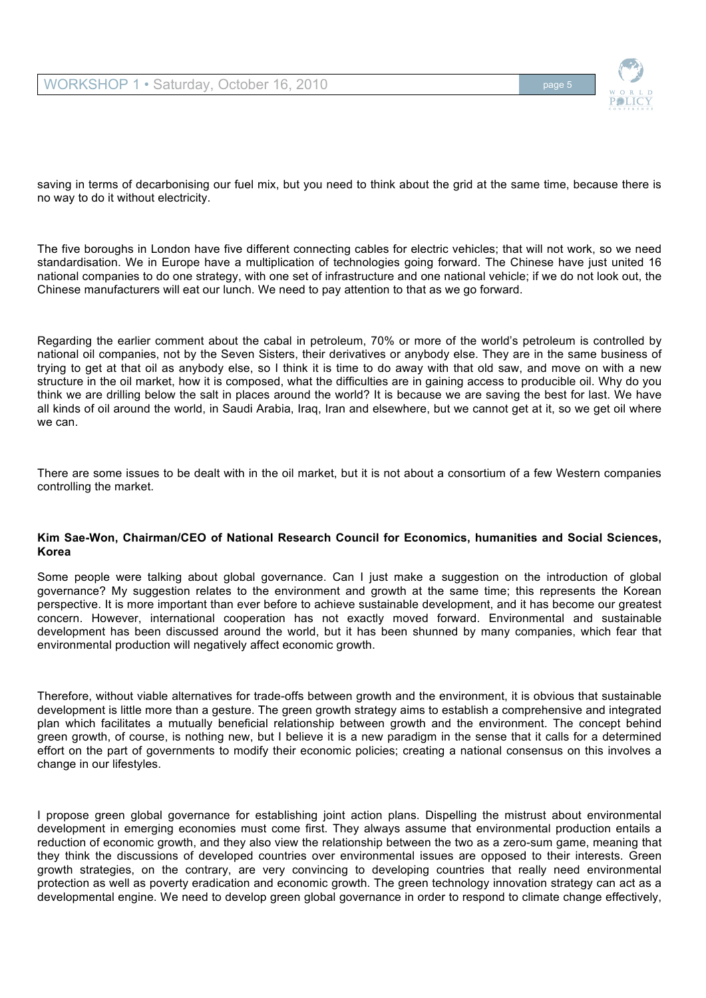

saving in terms of decarbonising our fuel mix, but you need to think about the grid at the same time, because there is no way to do it without electricity.

The five boroughs in London have five different connecting cables for electric vehicles; that will not work, so we need standardisation. We in Europe have a multiplication of technologies going forward. The Chinese have just united 16 national companies to do one strategy, with one set of infrastructure and one national vehicle; if we do not look out, the Chinese manufacturers will eat our lunch. We need to pay attention to that as we go forward.

Regarding the earlier comment about the cabal in petroleum, 70% or more of the world's petroleum is controlled by national oil companies, not by the Seven Sisters, their derivatives or anybody else. They are in the same business of trying to get at that oil as anybody else, so I think it is time to do away with that old saw, and move on with a new structure in the oil market, how it is composed, what the difficulties are in gaining access to producible oil. Why do you think we are drilling below the salt in places around the world? It is because we are saving the best for last. We have all kinds of oil around the world, in Saudi Arabia, Iraq, Iran and elsewhere, but we cannot get at it, so we get oil where we can.

There are some issues to be dealt with in the oil market, but it is not about a consortium of a few Western companies controlling the market.

#### **Kim Sae-Won, Chairman/CEO of National Research Council for Economics, humanities and Social Sciences, Korea**

Some people were talking about global governance. Can I just make a suggestion on the introduction of global governance? My suggestion relates to the environment and growth at the same time; this represents the Korean perspective. It is more important than ever before to achieve sustainable development, and it has become our greatest concern. However, international cooperation has not exactly moved forward. Environmental and sustainable development has been discussed around the world, but it has been shunned by many companies, which fear that environmental production will negatively affect economic growth.

Therefore, without viable alternatives for trade-offs between growth and the environment, it is obvious that sustainable development is little more than a gesture. The green growth strategy aims to establish a comprehensive and integrated plan which facilitates a mutually beneficial relationship between growth and the environment. The concept behind green growth, of course, is nothing new, but I believe it is a new paradigm in the sense that it calls for a determined effort on the part of governments to modify their economic policies; creating a national consensus on this involves a change in our lifestyles.

I propose green global governance for establishing joint action plans. Dispelling the mistrust about environmental development in emerging economies must come first. They always assume that environmental production entails a reduction of economic growth, and they also view the relationship between the two as a zero-sum game, meaning that they think the discussions of developed countries over environmental issues are opposed to their interests. Green growth strategies, on the contrary, are very convincing to developing countries that really need environmental protection as well as poverty eradication and economic growth. The green technology innovation strategy can act as a developmental engine. We need to develop green global governance in order to respond to climate change effectively,